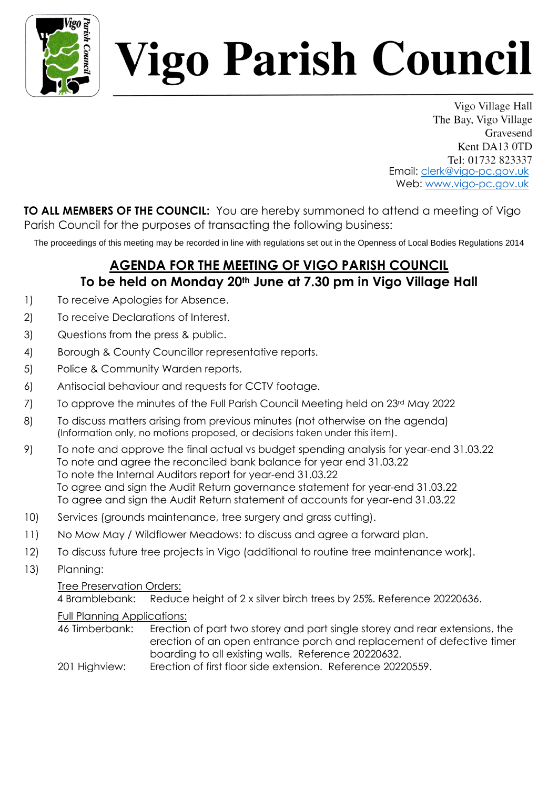

# *l*igo Parish Council

Vigo Village Hall The Bay, Vigo Village Gravesend Kent DA13 0TD Tel: 01732 823337 Email: clerk@vigo-pc.gov.uk Web: www.vigo-pc.gov.uk

**TO ALL MEMBERS OF THE COUNCIL:** You are hereby summoned to attend a meeting of Vigo Parish Council for the purposes of transacting the following business:

The proceedings of this meeting may be recorded in line with regulations set out in the Openness of Local Bodies Regulations 2014

## **AGENDA FOR THE MEETING OF VIGO PARISH COUNCIL To be held on Monday 20th June at 7.30 pm in Vigo Village Hall**

- 1) To receive Apologies for Absence.
- 2) To receive Declarations of Interest.
- 3) Questions from the press & public.
- 4) Borough & County Councillor representative reports.
- 5) Police & Community Warden reports.
- 6) Antisocial behaviour and requests for CCTV footage.
- 7) To approve the minutes of the Full Parish Council Meeting held on 23<sup>rd</sup> May 2022
- 8) To discuss matters arising from previous minutes (not otherwise on the agenda) (Information only, no motions proposed, or decisions taken under this item).
- 9) To note and approve the final actual vs budget spending analysis for year-end 31.03.22 To note and agree the reconciled bank balance for year end 31.03.22 To note the Internal Auditors report for year-end 31.03.22 To agree and sign the Audit Return governance statement for year-end 31.03.22 To agree and sign the Audit Return statement of accounts for year-end 31.03.22
- 10) Services (grounds maintenance, tree surgery and grass cutting).
- 11) No Mow May / Wildflower Meadows: to discuss and agree a forward plan.
- 12) To discuss future tree projects in Vigo (additional to routine tree maintenance work).
- 13) Planning:

### Tree Preservation Orders:

4 Bramblebank: Reduce height of 2 x silver birch trees by 25%. Reference 20220636.

### Full Planning Applications:

- 46 Timberbank: Erection of part two storey and part single storey and rear extensions, the erection of an open entrance porch and replacement of defective timer boarding to all existing walls. Reference 20220632.
- 201 Highview: Erection of first floor side extension. Reference 20220559.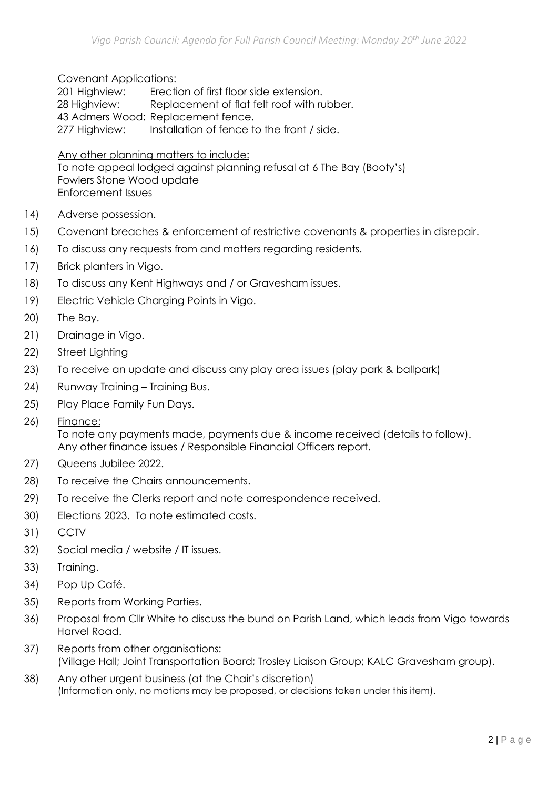#### Covenant Applications:

201 Highview: Erection of first floor side extension. 28 Highview: Replacement of flat felt roof with rubber. 43 Admers Wood: Replacement fence. 277 Highview: Installation of fence to the front / side.

Any other planning matters to include:

To note appeal lodged against planning refusal at 6 The Bay (Booty's) Fowlers Stone Wood update Enforcement Issues

- 14) Adverse possession.
- 15) Covenant breaches & enforcement of restrictive covenants & properties in disrepair.
- 16) To discuss any requests from and matters regarding residents.
- 17) Brick planters in Vigo.
- 18) To discuss any Kent Highways and / or Gravesham issues.
- 19) Electric Vehicle Charging Points in Vigo.
- 20) The Bay.
- 21) Drainage in Vigo.
- 22) Street Lighting
- 23) To receive an update and discuss any play area issues (play park & ballpark)
- 24) Runway Training Training Bus.
- 25) Play Place Family Fun Days.
- 26) Finance:

To note any payments made, payments due & income received (details to follow). Any other finance issues / Responsible Financial Officers report.

- 27) Queens Jubilee 2022.
- 28) To receive the Chairs announcements.
- 29) To receive the Clerks report and note correspondence received.
- 30) Elections 2023. To note estimated costs.
- 31) CCTV
- 32) Social media / website / IT issues.
- 33) Training.
- 34) Pop Up Café.
- 35) Reports from Working Parties.
- 36) Proposal from Cllr White to discuss the bund on Parish Land, which leads from Vigo towards Harvel Road.
- 37) Reports from other organisations: (Village Hall; Joint Transportation Board; Trosley Liaison Group; KALC Gravesham group).
- 38) Any other urgent business (at the Chair's discretion) (Information only, no motions may be proposed, or decisions taken under this item).